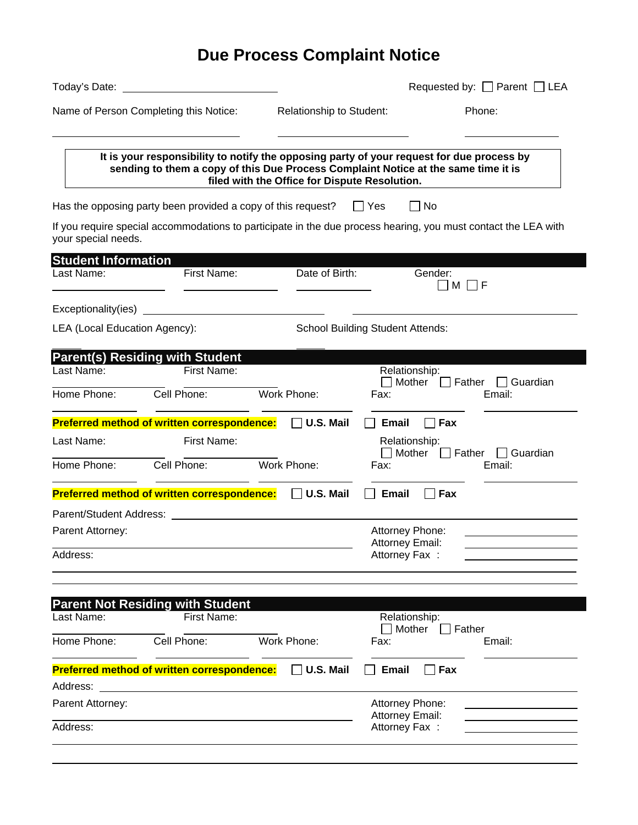|                                        |                                                                     |                                               |                                    | Requested by: $\Box$ Parent $\Box$ LEA                                                                                                                                          |
|----------------------------------------|---------------------------------------------------------------------|-----------------------------------------------|------------------------------------|---------------------------------------------------------------------------------------------------------------------------------------------------------------------------------|
| Name of Person Completing this Notice: | Relationship to Student:                                            |                                               | Phone:                             |                                                                                                                                                                                 |
|                                        |                                                                     | filed with the Office for Dispute Resolution. |                                    | It is your responsibility to notify the opposing party of your request for due process by<br>sending to them a copy of this Due Process Complaint Notice at the same time it is |
|                                        | Has the opposing party been provided a copy of this request?        |                                               | $\Box$ Yes                         | No                                                                                                                                                                              |
| your special needs.                    |                                                                     |                                               |                                    | If you require special accommodations to participate in the due process hearing, you must contact the LEA with                                                                  |
| <b>Student Information</b>             |                                                                     |                                               |                                    |                                                                                                                                                                                 |
| First Name:<br>Last Name:              |                                                                     | Date of Birth:                                |                                    | Gender:<br>M<br>-I F                                                                                                                                                            |
| Exceptionality(ies)                    | <u> 1980 - Andrea Station Barbara, amerikan personal (h. 1980).</u> |                                               |                                    |                                                                                                                                                                                 |
| LEA (Local Education Agency):          |                                                                     | <b>School Building Student Attends:</b>       |                                    |                                                                                                                                                                                 |
|                                        | <b>Parent(s) Residing with Student</b>                              |                                               |                                    |                                                                                                                                                                                 |
| Last Name:                             | First Name:                                                         |                                               |                                    | Relationship:<br>$\Box$ Mother $\Box$ Father<br>$\Box$ Guardian                                                                                                                 |
| Home Phone:                            | Cell Phone:                                                         | Work Phone:                                   | Fax:                               | Email:                                                                                                                                                                          |
|                                        | <b>Preferred method of written correspondence:</b>                  | $\Box$ U.S. Mail                              | Email                              | $\Box$ Fax                                                                                                                                                                      |
| Last Name:                             | First Name:                                                         |                                               |                                    | Relationship:<br>$\Box$ Mother $\Box$<br><b>Suandian</b>   Guardian                                                                                                             |
| Home Phone:                            | Cell Phone:                                                         | Work Phone:                                   | Fax:                               | Email:                                                                                                                                                                          |
|                                        | Preferred method of written correspondence: □ U.S. Mail             |                                               | Email                              | Fax                                                                                                                                                                             |
| Parent/Student Address:                |                                                                     |                                               |                                    |                                                                                                                                                                                 |
| Parent Attorney:                       |                                                                     |                                               | Attorney Phone:                    |                                                                                                                                                                                 |
| Address:                               |                                                                     |                                               | Attorney Email:<br>Attorney Fax :  |                                                                                                                                                                                 |
|                                        |                                                                     |                                               |                                    |                                                                                                                                                                                 |
|                                        | <b>Parent Not Residing with Student</b>                             |                                               |                                    |                                                                                                                                                                                 |
| Last Name:                             | First Name:                                                         |                                               |                                    | Relationship:<br>$\Box$ Mother<br>Father                                                                                                                                        |
| Home Phone:                            | Cell Phone:                                                         | Work Phone:                                   | Fax:                               | Email:                                                                                                                                                                          |
|                                        | <b>Preferred method of written correspondence:</b>                  | U.S. Mail                                     | <b>Email</b>                       | $\Box$ Fax                                                                                                                                                                      |
| Address:                               |                                                                     |                                               |                                    |                                                                                                                                                                                 |
| Parent Attorney:                       |                                                                     |                                               | Attorney Phone:<br>Attorney Email: |                                                                                                                                                                                 |
|                                        |                                                                     |                                               |                                    |                                                                                                                                                                                 |

## **Due Process Complaint Notice**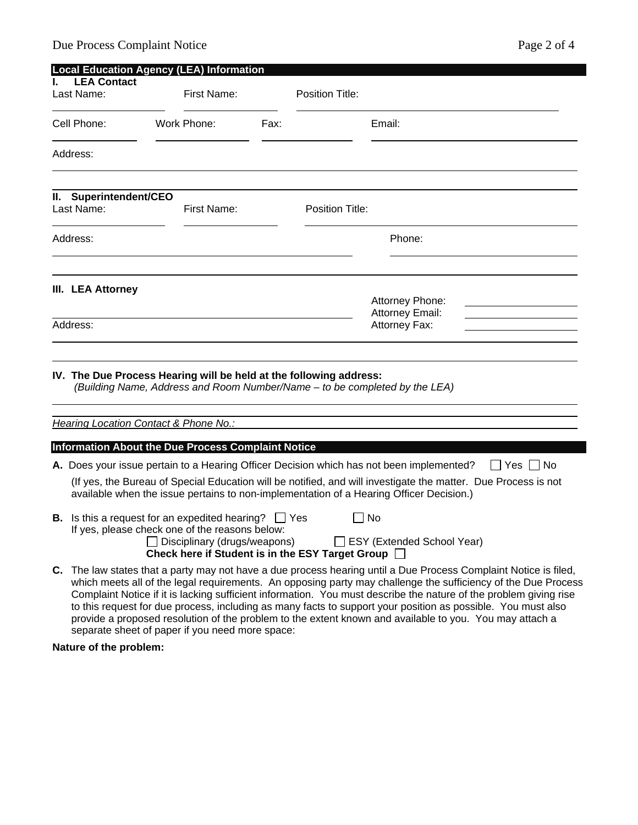| <b>Local Education Agency (LEA) Information</b> |                                                                                                                                                                                                                                                                                                                                                                                                                                                                        |                                                                                                                                                  |      |                        |                                                                                                                                                                                                           |  |  |  |
|-------------------------------------------------|------------------------------------------------------------------------------------------------------------------------------------------------------------------------------------------------------------------------------------------------------------------------------------------------------------------------------------------------------------------------------------------------------------------------------------------------------------------------|--------------------------------------------------------------------------------------------------------------------------------------------------|------|------------------------|-----------------------------------------------------------------------------------------------------------------------------------------------------------------------------------------------------------|--|--|--|
|                                                 | <b>LEA Contact</b><br>Last Name:                                                                                                                                                                                                                                                                                                                                                                                                                                       | First Name:                                                                                                                                      |      | <b>Position Title:</b> |                                                                                                                                                                                                           |  |  |  |
|                                                 | Cell Phone:                                                                                                                                                                                                                                                                                                                                                                                                                                                            | Work Phone:                                                                                                                                      | Fax: |                        | Email:                                                                                                                                                                                                    |  |  |  |
|                                                 | Address:                                                                                                                                                                                                                                                                                                                                                                                                                                                               |                                                                                                                                                  |      |                        |                                                                                                                                                                                                           |  |  |  |
|                                                 | II. Superintendent/CEO<br>Last Name:                                                                                                                                                                                                                                                                                                                                                                                                                                   | First Name:                                                                                                                                      |      | <b>Position Title:</b> |                                                                                                                                                                                                           |  |  |  |
| Address:                                        |                                                                                                                                                                                                                                                                                                                                                                                                                                                                        |                                                                                                                                                  |      |                        | Phone:                                                                                                                                                                                                    |  |  |  |
|                                                 | III. LEA Attorney                                                                                                                                                                                                                                                                                                                                                                                                                                                      |                                                                                                                                                  |      |                        | Attorney Phone:<br><b>Attorney Email:</b>                                                                                                                                                                 |  |  |  |
|                                                 | Address:                                                                                                                                                                                                                                                                                                                                                                                                                                                               |                                                                                                                                                  |      | Attorney Fax:          |                                                                                                                                                                                                           |  |  |  |
|                                                 |                                                                                                                                                                                                                                                                                                                                                                                                                                                                        | IV. The Due Process Hearing will be held at the following address:<br>(Building Name, Address and Room Number/Name - to be completed by the LEA) |      |                        |                                                                                                                                                                                                           |  |  |  |
|                                                 |                                                                                                                                                                                                                                                                                                                                                                                                                                                                        | <b>Hearing Location Contact &amp; Phone No.:</b>                                                                                                 |      |                        |                                                                                                                                                                                                           |  |  |  |
|                                                 |                                                                                                                                                                                                                                                                                                                                                                                                                                                                        | <b>Information About the Due Process Complaint Notice</b>                                                                                        |      |                        |                                                                                                                                                                                                           |  |  |  |
|                                                 |                                                                                                                                                                                                                                                                                                                                                                                                                                                                        |                                                                                                                                                  |      |                        | A. Does your issue pertain to a Hearing Officer Decision which has not been implemented?<br>Yes ∐ No                                                                                                      |  |  |  |
|                                                 |                                                                                                                                                                                                                                                                                                                                                                                                                                                                        |                                                                                                                                                  |      |                        | (If yes, the Bureau of Special Education will be notified, and will investigate the matter. Due Process is not<br>available when the issue pertains to non-implementation of a Hearing Officer Decision.) |  |  |  |
|                                                 | <b>B.</b> Is this a request for an expedited hearing? $\Box$ Yes<br>∐ No<br>If yes, please check one of the reasons below:<br>$\Box$ Disciplinary (drugs/weapons)<br>□ ESY (Extended School Year)<br>Check here if Student is in the ESY Target Group [                                                                                                                                                                                                                |                                                                                                                                                  |      |                        |                                                                                                                                                                                                           |  |  |  |
|                                                 | C. The law states that a party may not have a due process hearing until a Due Process Complaint Notice is filed,<br>which meets all of the legal requirements. An opposing party may challenge the sufficiency of the Due Process<br>Complaint Notice if it is lacking sufficient information. You must describe the nature of the problem giving rise<br>to this request for due process, including as many facts to support your position as possible. You must also |                                                                                                                                                  |      |                        |                                                                                                                                                                                                           |  |  |  |

provide a proposed resolution of the problem to the extent known and available to you. You may attach a

**Nature of the problem:** 

separate sheet of paper if you need more space: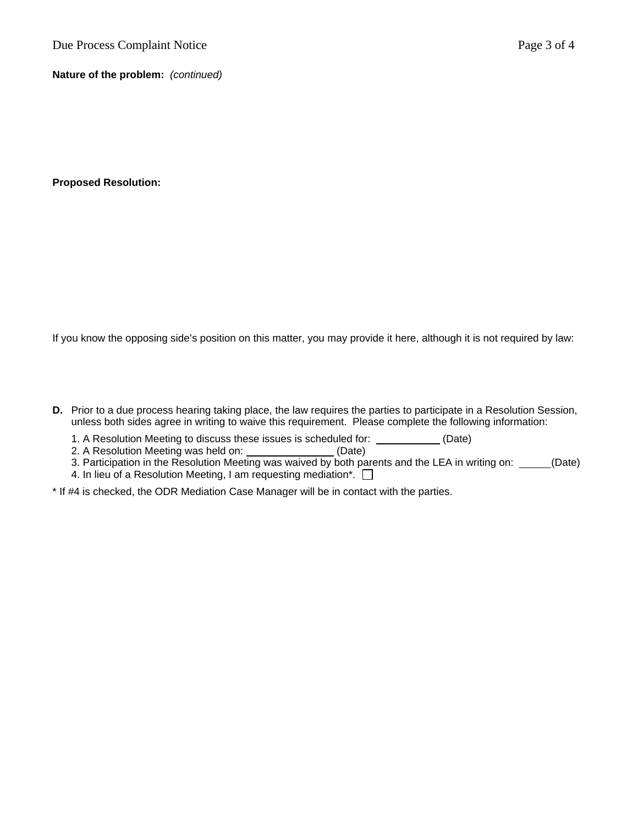**Nature of the problem:** *(continued)* 

**Proposed Resolution:** 

If you know the opposing side's position on this matter, you may provide it here, although it is not required by law:

- **D.** Prior to a due process hearing taking place, the law requires the parties to participate in a Resolution Session, unless both sides agree in writing to waive this requirement. Please complete the following information:
	- 1. A Resolution Meeting to discuss these issues is scheduled for: \_\_\_\_\_\_\_\_\_\_\_\_ (Date)
	- 2. A Resolution Meeting was held on: \_\_\_\_\_\_\_\_\_\_\_\_\_\_\_\_\_(Date)
	- 3. Participation in the Resolution Meeting was waived by both parents and the LEA in writing on: \_\_\_\_\_(Date)
	- 4. In lieu of a Resolution Meeting, I am requesting mediation\*.  $\Box$
- \* If #4 is checked, the ODR Mediation Case Manager will be in contact with the parties.